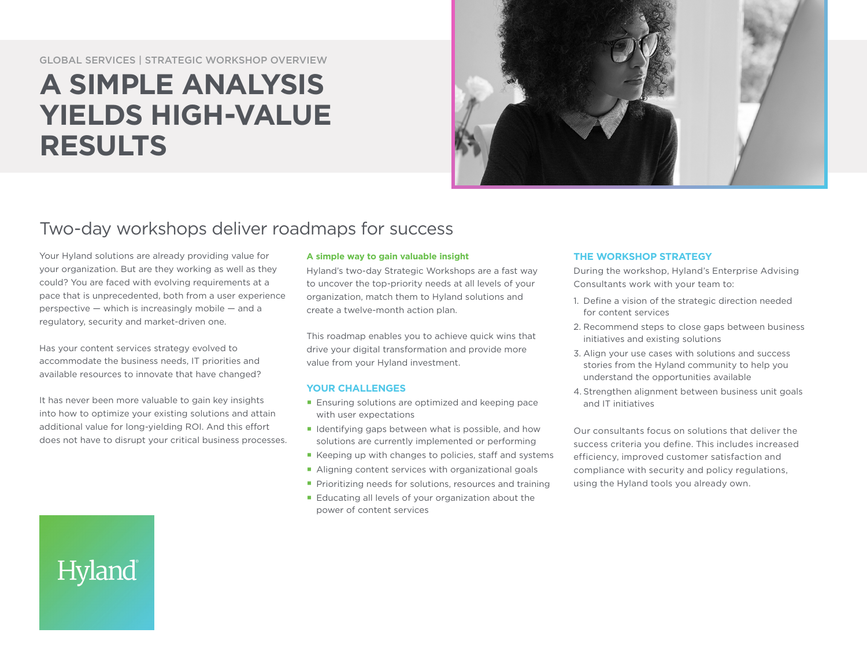#### GLOBAL SERVICES | STRATEGIC WORKSHOP OVERVIEW

# **A SIMPLE ANALYSIS YIELDS HIGH-VALUE RESULTS**



# Two-day workshops deliver roadmaps for success

Your Hyland solutions are already providing value for your organization. But are they working as well as they could? You are faced with evolving requirements at a pace that is unprecedented, both from a user experience perspective — which is increasingly mobile — and a regulatory, security and market-driven one.

Has your content services strategy evolved to accommodate the business needs, IT priorities and available resources to innovate that have changed?

It has never been more valuable to gain key insights into how to optimize your existing solutions and attain additional value for long-yielding ROI. And this effort does not have to disrupt your critical business processes.

Hyland

#### **A simple way to gain valuable insight**

Hyland's two-day Strategic Workshops are a fast way to uncover the top-priority needs at all levels of your organization, match them to Hyland solutions and create a twelve-month action plan.

This roadmap enables you to achieve quick wins that drive your digital transformation and provide more value from your Hyland investment.

#### **YOUR CHALLENGES**

- **Ensuring solutions are optimized and keeping pace** with user expectations
- I Identifying gaps between what is possible, and how solutions are currently implemented or performing
- Keeping up with changes to policies, staff and systems
- Aligning content services with organizational goals
- **Prioritizing needs for solutions, resources and training**
- Educating all levels of your organization about the power of content services

#### **THE WORKSHOP STRATEGY**

During the workshop, Hyland's Enterprise Advising Consultants work with your team to:

- 1. Define a vision of the strategic direction needed for content services
- 2. Recommend steps to close gaps between business initiatives and existing solutions
- 3. Align your use cases with solutions and success stories from the Hyland community to help you understand the opportunities available
- 4. Strengthen alignment between business unit goals and IT initiatives

Our consultants focus on solutions that deliver the success criteria you define. This includes increased efficiency, improved customer satisfaction and compliance with security and policy regulations, using the Hyland tools you already own.